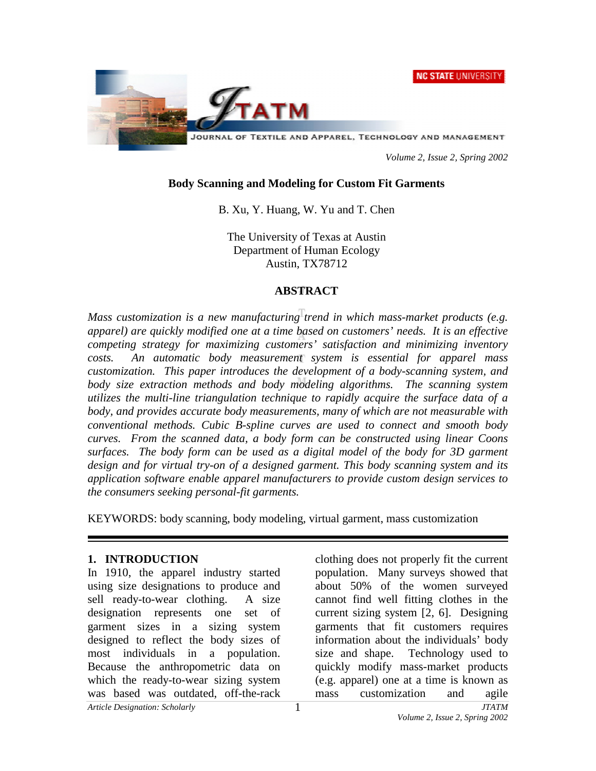



 *Volume 2, Issue 2, Spring 2002* 

### **Body Scanning and Modeling for Custom Fit Garments**

B. Xu, Y. Huang, W. Yu and T. Chen

The University of Texas at Austin Department of Human Ecology Austin, TX78712

# **ABSTRACT**

*Mass customization is a new manufacturing trend in which mass-market products (e.g. apparel) are quickly modified one at a time based on customers' needs. It is an effective competing strategy for maximizing customers' satisfaction and minimizing inventory costs. An automatic body measurement system is essential for apparel mass customization. This paper introduces the development of a body-scanning system, and*  body size extraction methods and body modeling algorithms. The scanning system *utilizes the multi-line triangulation technique to rapidly acquire the surface data of a body, and provides accurate body measurements, many of which are not measurable with conventional methods. Cubic B-spline curves are used to connect and smooth body curves. From the scanned data, a body form can be constructed using linear Coons surfaces. The body form can be used as a digital model of the body for 3D garment design and for virtual try-on of a designed garment. This body scanning system and its application software enable apparel manufacturers to provide custom design services to the consumers seeking personal-fit garments.* 

KEYWORDS: body scanning, body modeling, virtual garment, mass customization

#### **1. INTRODUCTION**

In 1910, the apparel industry started using size designations to produce and sell ready-to-wear clothing. A size designation represents one set of garment sizes in a sizing system designed to reflect the body sizes of most individuals in a population. Because the anthropometric data on which the ready-to-wear sizing system was based was outdated, off-the-rack

clothing does not properly fit the current population. Many surveys showed that about 50% of the women surveyed cannot find well fitting clothes in the current sizing system [2, 6]. Designing garments that fit customers requires information about the individuals' body size and shape. Technology used to quickly modify mass-market products (e.g. apparel) one at a time is known as mass customization and agile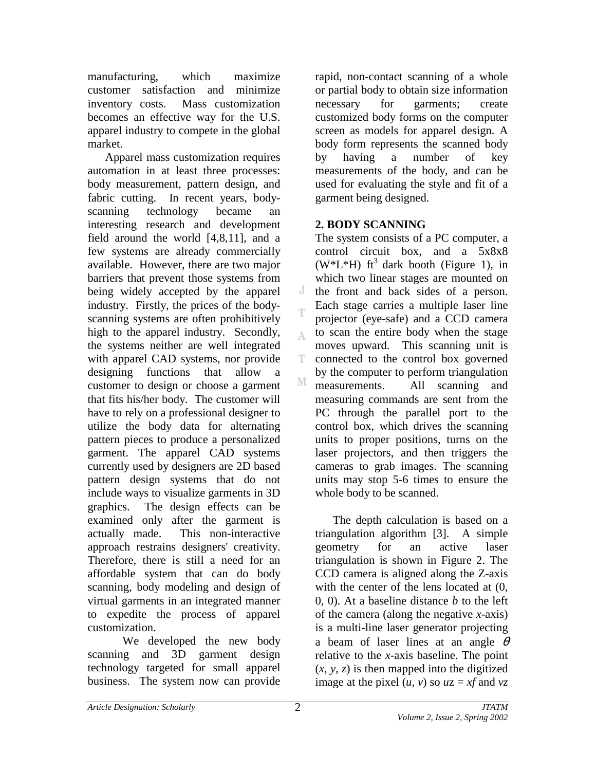manufacturing, which maximize customer satisfaction and minimize inventory costs. Mass customization becomes an effective way for the U.S. apparel industry to compete in the global market.

Apparel mass customization requires automation in at least three processes: body measurement, pattern design, and fabric cutting. In recent years, bodyscanning technology became an interesting research and development field around the world [4,8,11], and a few systems are already commercially available. However, there are two major barriers that prevent those systems from being widely accepted by the apparel industry. Firstly, the prices of the bodyscanning systems are often prohibitively high to the apparel industry. Secondly, the systems neither are well integrated with apparel CAD systems, nor provide designing functions that allow a customer to design or choose a garment that fits his/her body. The customer will have to rely on a professional designer to utilize the body data for alternating pattern pieces to produce a personalized garment. The apparel CAD systems currently used by designers are 2D based pattern design systems that do not include ways to visualize garments in 3D graphics. The design effects can be examined only after the garment is actually made. This non-interactive approach restrains designers' creativity. Therefore, there is still a need for an affordable system that can do body scanning, body modeling and design of virtual garments in an integrated manner to expedite the process of apparel customization.

 We developed the new body scanning and 3D garment design technology targeted for small apparel business. The system now can provide

rapid, non-contact scanning of a whole or partial body to obtain size information necessary for garments; create customized body forms on the computer screen as models for apparel design. A body form represents the scanned body by having a number of key measurements of the body, and can be used for evaluating the style and fit of a garment being designed.

# **2. BODY SCANNING**

J

Δ

Ŧ

The system consists of a PC computer, a control circuit box, and a 5x8x8 (W<sup>\*</sup>L<sup>\*</sup>H) ft<sup>3</sup> dark booth (Figure 1), in which two linear stages are mounted on the front and back sides of a person. Each stage carries a multiple laser line projector (eye-safe) and a CCD camera to scan the entire body when the stage moves upward. This scanning unit is connected to the control box governed by the computer to perform triangulation M measurements. All scanning and measuring commands are sent from the PC through the parallel port to the control box, which drives the scanning units to proper positions, turns on the laser projectors, and then triggers the cameras to grab images. The scanning units may stop 5-6 times to ensure the whole body to be scanned.

 The depth calculation is based on a triangulation algorithm [3]. A simple geometry for an active laser triangulation is shown in Figure 2. The CCD camera is aligned along the Z-axis with the center of the lens located at  $(0, 1)$ 0, 0). At a baseline distance *b* to the left of the camera (along the negative *x*-axis) is a multi-line laser generator projecting a beam of laser lines at an angle  $\theta$ relative to the *x*-axis baseline. The point  $(x, y, z)$  is then mapped into the digitized image at the pixel  $(u, v)$  so  $uz = xf$  and  $vz$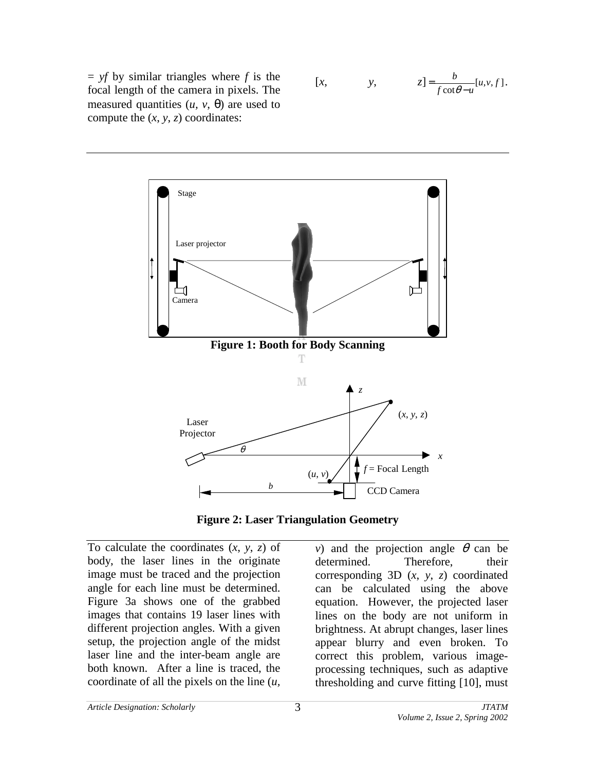$=$  *yf* by similar triangles where *f* is the focal length of the camera in pixels. The measured quantities  $(u, v, \theta)$  are used to compute the  $(x, y, z)$  coordinates:

$$
[x, \t y, \t z] = \frac{b}{f \cot \theta - u} [u, v, f].
$$





To calculate the coordinates (*x*, *y*, *z*) of body, the laser lines in the originate image must be traced and the projection angle for each line must be determined. Figure 3a shows one of the grabbed images that contains 19 laser lines with different projection angles. With a given setup, the projection angle of the midst laser line and the inter-beam angle are both known. After a line is traced, the coordinate of all the pixels on the line (*u,* 

*v*) and the projection angle  $\theta$  can be determined. Therefore, their corresponding 3D (*x*, *y*, *z*) coordinated can be calculated using the above equation. However, the projected laser lines on the body are not uniform in brightness. At abrupt changes, laser lines appear blurry and even broken. To correct this problem, various imageprocessing techniques, such as adaptive thresholding and curve fitting [10], must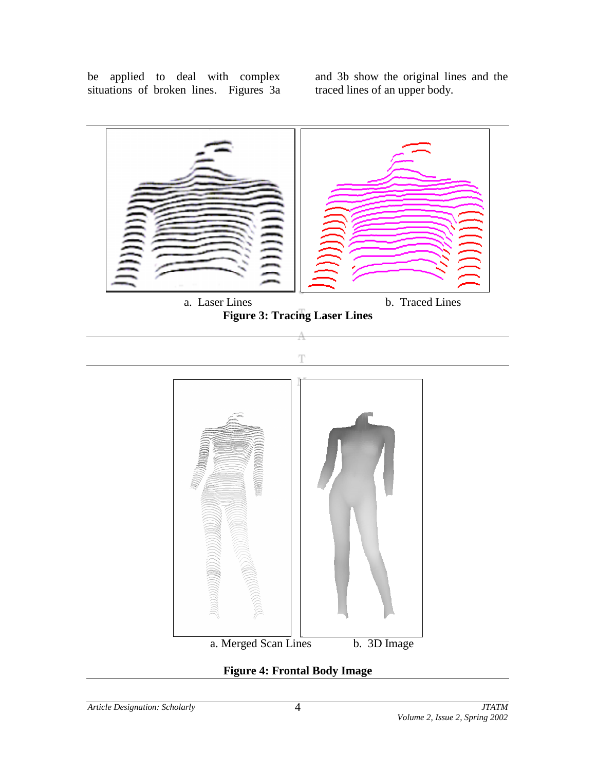be applied to deal with complex situations of broken lines. Figures 3a and 3b show the original lines and the traced lines of an upper body.



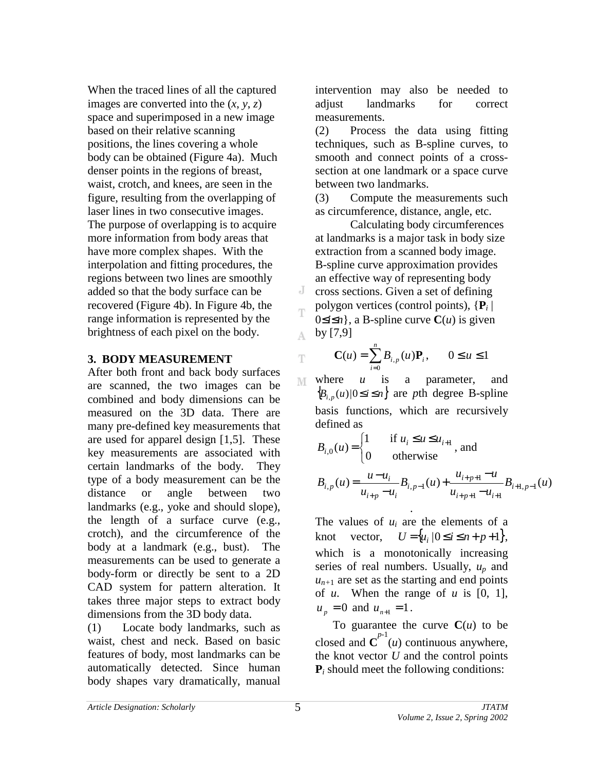When the traced lines of all the captured images are converted into the  $(x, y, z)$ space and superimposed in a new image based on their relative scanning positions, the lines covering a whole body can be obtained (Figure 4a). Much denser points in the regions of breast, waist, crotch, and knees, are seen in the figure, resulting from the overlapping of laser lines in two consecutive images. The purpose of overlapping is to acquire more information from body areas that have more complex shapes. With the interpolation and fitting procedures, the regions between two lines are smoothly added so that the body surface can be recovered (Figure 4b). In Figure 4b, the range information is represented by the brightness of each pixel on the body.

### **3. BODY MEASUREMENT**

After both front and back body surfaces are scanned, the two images can be combined and body dimensions can be measured on the 3D data. There are many pre-defined key measurements that are used for apparel design [1,5]. These key measurements are associated with certain landmarks of the body. They type of a body measurement can be the distance or angle between two landmarks (e.g., yoke and should slope), the length of a surface curve (e.g., crotch), and the circumference of the body at a landmark (e.g., bust). The measurements can be used to generate a body-form or directly be sent to a 2D CAD system for pattern alteration. It takes three major steps to extract body dimensions from the 3D body data.

(1) Locate body landmarks, such as waist, chest and neck. Based on basic features of body, most landmarks can be automatically detected. Since human body shapes vary dramatically, manual intervention may also be needed to adjust landmarks for correct measurements.

(2) Process the data using fitting techniques, such as B-spline curves, to smooth and connect points of a crosssection at one landmark or a space curve between two landmarks.

(3) Compute the measurements such as circumference, distance, angle, etc.

 Calculating body circumferences at landmarks is a major task in body size extraction from a scanned body image. B-spline curve approximation provides an effective way of representing body cross sections. Given a set of defining polygon vertices (control points), {**P***i* | 0≤*i*≤*n*}, a B-spline curve **C**(*u*) is given by [7,9]

$$
\mathbf{C}(u) = \sum_{i=0}^{n} B_{i,p}(u)\mathbf{P}_i, \qquad 0 \le u \le 1
$$

where *u* is a parameter, and M  ${B_{i,p}(u) \mid 0 \le i \le n}$  are *pth* degree B-spline basis functions, which are recursively defined as

$$
B_{i,0}(u) = \begin{cases} 1 & \text{if } u_i \le u \le u_{i+1} \\ 0 & \text{otherwise} \end{cases}
$$
, and

$$
B_{i,p}(u) = \frac{u - u_i}{u_{i+p} - u_i} B_{i,p-1}(u) + \frac{u_{i+p+1} - u}{u_{i+p+1} - u_{i+1}} B_{i+1,p-1}(u)
$$

The values of *ui* are the elements of a knot vector,  $U = \{ u_i \mid 0 \le i \le n + p + 1 \},\$ which is a monotonically increasing series of real numbers. Usually, *up* and  $u_{n+1}$  are set as the starting and end points of *u*. When the range of *u* is [0, 1],  $u_p = 0$  and  $u_{n+1} = 1$ .

.

To guarantee the curve  $C(u)$  to be closed and  $C^{p-1}(u)$  continuous anywhere, the knot vector *U* and the control points  $P_i$  should meet the following conditions:

J

T

A.

T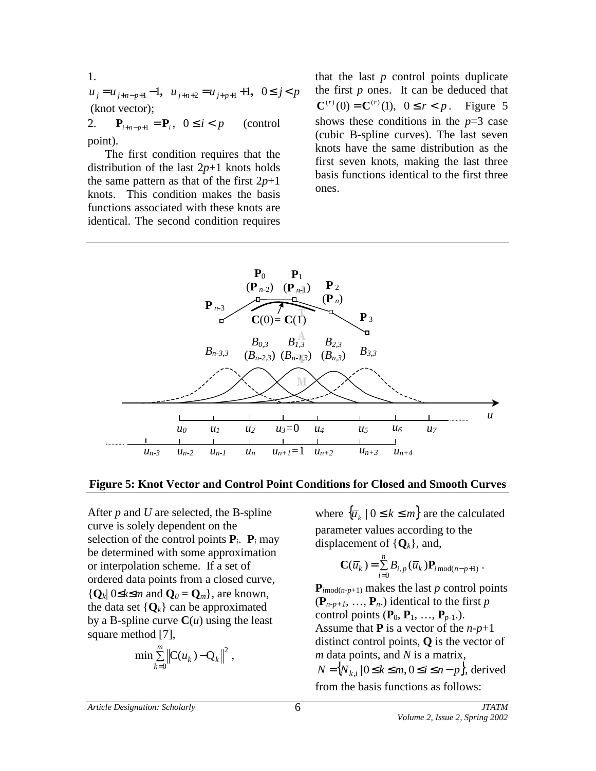1.  $u_j = u_{j+n-p+1} - 1$ ,  $u_{j+n+2} = u_{j+p+1} + 1$ ,  $0 \le j < p$  (knot vector); 2. **P**<sub>*i*+*n*−*p*+1</sub> = **P**<sub>*i*</sub>, 0 ≤ *i* < *p* (control

point). The first condition requires that the distribution of the last 2*p*+1 knots holds

the same pattern as that of the first  $2p+1$ knots. This condition makes the basis functions associated with these knots are identical. The second condition requires that the last *p* control points duplicate the first *p* ones. It can be deduced that  $C^{(r)}(0) = C^{(r)}(1), \ 0 \le r < p$ . Figure 5 shows these conditions in the *p*=3 case (cubic B-spline curves). The last seven knots have the same distribution as the first seven knots, making the last three basis functions identical to the first three ones.



#### **Figure 5: Knot Vector and Control Point Conditions for Closed and Smooth Curves**

After *p* and *U* are selected, the B-spline curve is solely dependent on the selection of the control points  $P_i$ .  $P_i$  may be determined with some approximation or interpolation scheme. If a set of ordered data points from a closed curve,  ${Q_k}$ | 0≤ $k$ ≤*m* and  $Q_0 = Q_m$ }, are known, the data set  $\{Q_k\}$  can be approximated by a B-spline curve  $C(u)$  using the least square method [7],

$$
\min \sum_{k=0}^m \left\| C(\overline{u}_k) - Q_k \right\|^2,
$$

where  $\{\overline{u}_k \mid 0 \le k \le m\}$  are the calculated parameter values according to the displacement of  $\{Q_k\}$ , and,

$$
\mathbf{C}(\overline{u}_k) = \sum_{i=0}^n B_{i,p}(\overline{u}_k) \mathbf{P}_{i \bmod (n-p+1)}.
$$

 ${\bf P}_{imod(n-p+1)}$  makes the last *p* control points  $(\mathbf{P}_{n-p+1}, \ldots, \mathbf{P}_n)$  identical to the first *p* control points  $(\mathbf{P}_0, \mathbf{P}_1, \ldots, \mathbf{P}_{p-1}).$ Assume that **P** is a vector of the *n*-*p*+1 distinct control points, **Q** is the vector of *m* data points, and *N* is a matrix,  $N = \{N_{k,i} | 0 \le k \le m, 0 \le i \le n-p\}$ , derived from the basis functions as follows: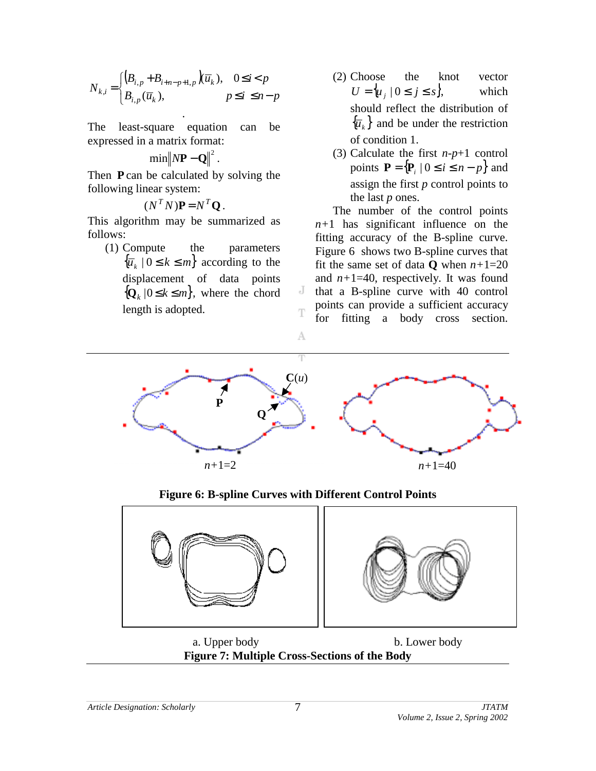$$
N_{k,i} = \begin{cases} \left(B_{i,p} + B_{i+n-p+1,p}\right)\overline{u}_k, & 0 \le i < p\\ B_{i,p}(\overline{u}_k), & p \le i \le n-p \end{cases}
$$

The least-square equation can be expressed in a matrix format:

$$
\min \|N\mathbf{P} - \mathbf{Q}\|^2.
$$

Then **P** can be calculated by solving the following linear system:

$$
(N^T N)\mathbf{P} = N^T \mathbf{Q}.
$$

This algorithm may be summarized as follows:

(1) Compute the parameters  $\{\overline{u}_k \mid 0 \leq k \leq m\}$  according to the displacement of data points  ${Q_k | 0 \le k \le m}$ , where the chord length is adopted.

- (2) Choose the knot vector  $U = \{u_i \mid 0 \leq j \leq s\}$ , which should reflect the distribution of  $\{\overline{u}_k\}$  and be under the restriction of condition 1.
- (3) Calculate the first *n*-*p*+1 control points  $\mathbf{P} = \{ \mathbf{P}_i \mid 0 \le i \le n - p \}$  and assign the first *p* control points to the last *p* ones.

The number of the control points *n+*1 has significant influence on the fitting accuracy of the B-spline curve. Figure 6 shows two B-spline curves that fit the same set of data **Q** when  $n+1=20$ and  $n+1=40$ , respectively. It was found that a B-spline curve with 40 control points can provide a sufficient accuracy for fitting a body cross section.



J

T

**Figure 6: B-spline Curves with Different Control Points** 



a. Upper body b. Lower body **Figure 7: Multiple Cross-Sections of the Body**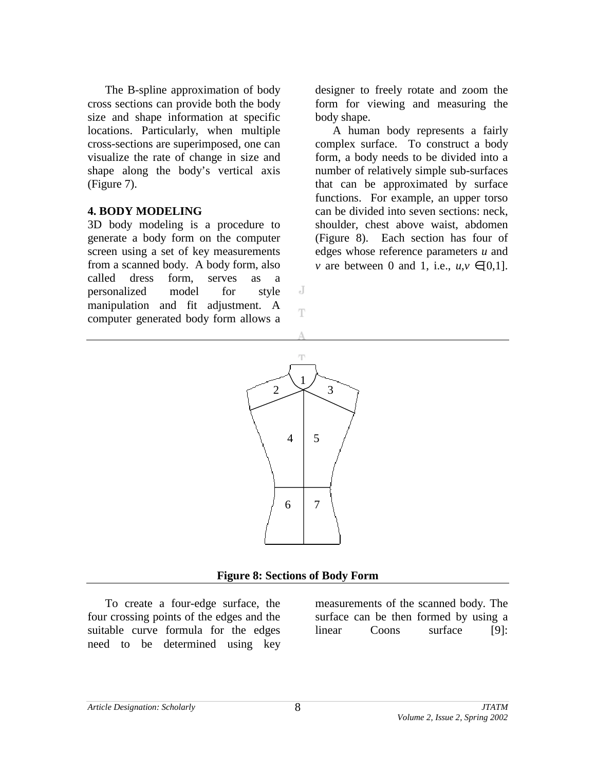The B-spline approximation of body cross sections can provide both the body size and shape information at specific locations. Particularly, when multiple cross-sections are superimposed, one can visualize the rate of change in size and shape along the body's vertical axis (Figure 7).

### **4. BODY MODELING**

3D body modeling is a procedure to generate a body form on the computer screen using a set of key measurements from a scanned body. A body form, also called dress form, serves as a personalized model for style manipulation and fit adjustment. A computer generated body form allows a

designer to freely rotate and zoom the form for viewing and measuring the body shape.

A human body represents a fairly complex surface. To construct a body form, a body needs to be divided into a number of relatively simple sub-surfaces that can be approximated by surface functions. For example, an upper torso can be divided into seven sections: neck, shoulder, chest above waist, abdomen (Figure 8). Each section has four of edges whose reference parameters *u* and *v* are between 0 and 1, i.e.,  $u, v \in [0,1]$ .



J

T

#### **Figure 8: Sections of Body Form**

To create a four-edge surface, the four crossing points of the edges and the suitable curve formula for the edges need to be determined using key

measurements of the scanned body. The surface can be then formed by using a linear Coons surface [9]: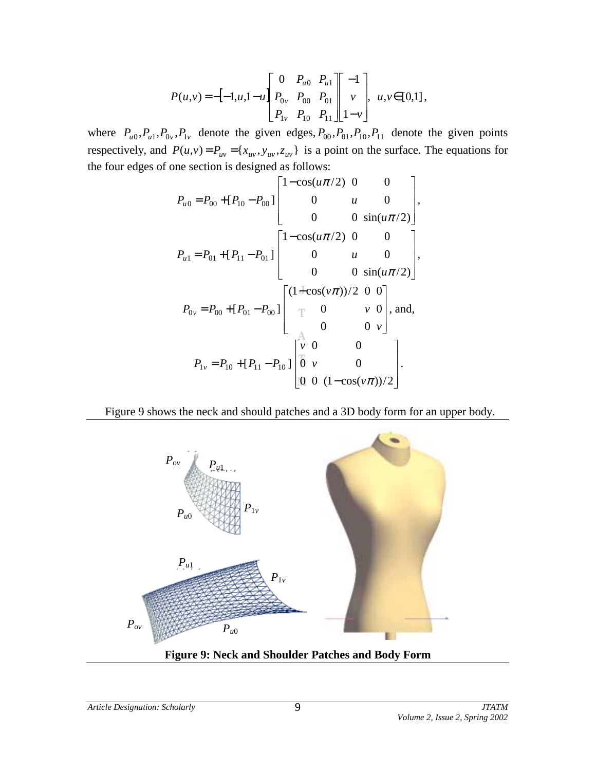$$
P(u,v) = -[-1,u,1-u] \begin{bmatrix} 0 & P_{u0} & P_{u1} \\ P_{0v} & P_{00} & P_{01} \\ P_{1v} & P_{10} & P_{11} \end{bmatrix} \begin{bmatrix} -1 \\ v \\ 1-v \end{bmatrix}, u, v \in [0,1],
$$

where  $P_{u0}$ ,  $P_{u1}$ ,  $P_{0v}$ ,  $P_{1v}$  denote the given edges,  $P_{00}$ ,  $P_{01}$ ,  $P_{10}$ ,  $P_{11}$  denote the given points respectively, and  $P(u, v) = P_{uv} = \{x_{uv}, y_{uv}, z_{uv}\}\$ is a point on the surface. The equations for the four edges of one section is designed as follows:

$$
P_{u0} = P_{00} + [P_{10} - P_{00}] \begin{bmatrix} 1 - \cos(u\pi/2) & 0 & 0 \\ 0 & u & 0 \\ 0 & 0 & \sin(u\pi/2) \end{bmatrix},
$$
  
\n
$$
P_{u1} = P_{01} + [P_{11} - P_{01}] \begin{bmatrix} 1 - \cos(u\pi/2) & 0 & 0 \\ 0 & u & 0 \\ 0 & 0 & \sin(u\pi/2) \end{bmatrix},
$$
  
\n
$$
P_{0v} = P_{00} + [P_{01} - P_{00}] \begin{bmatrix} (1 + \cos(v\pi))/2 & 0 & 0 \\ 0 & v & 0 \\ 0 & 0 & v \end{bmatrix},
$$
 and,  
\n
$$
P_{1v} = P_{10} + [P_{11} - P_{10}] \begin{bmatrix} v & 0 & 0 \\ 0 & v & 0 \\ 0 & 0 & (1 - \cos(v\pi))/2 \end{bmatrix}.
$$

Figure 9 shows the neck and should patches and a 3D body form for an upper body.





*Article Designation: Scholarly JTATM*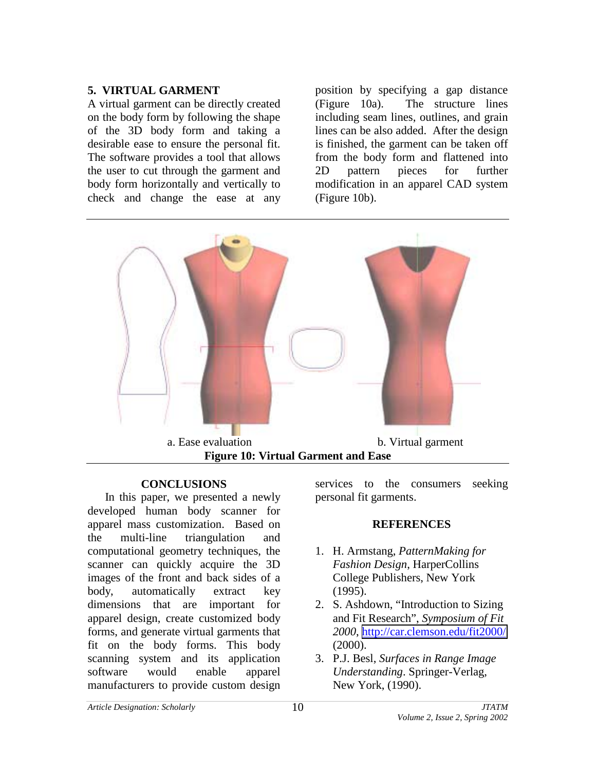# **5. VIRTUAL GARMENT**

A virtual garment can be directly created on the body form by following the shape of the 3D body form and taking a desirable ease to ensure the personal fit. The software provides a tool that allows the user to cut through the garment and body form horizontally and vertically to check and change the ease at any

position by specifying a gap distance (Figure 10a). The structure lines including seam lines, outlines, and grain lines can be also added. After the design is finished, the garment can be taken off from the body form and flattened into 2D pattern pieces for further modification in an apparel CAD system (Figure 10b).



## **CONCLUSIONS**

In this paper, we presented a newly developed human body scanner for apparel mass customization. Based on the multi-line triangulation and computational geometry techniques, the scanner can quickly acquire the 3D images of the front and back sides of a body, automatically extract key dimensions that are important for apparel design, create customized body forms, and generate virtual garments that fit on the body forms. This body scanning system and its application software would enable apparel manufacturers to provide custom design

services to the consumers seeking personal fit garments.

#### **REFERENCES**

- 1. H. Armstang, *PatternMaking for Fashion Design*, HarperCollins College Publishers, New York (1995).
- 2. S. Ashdown, "Introduction to Sizing and Fit Research", *Symposium of Fit 2000*,<http://car.clemson.edu/fit2000/> (2000).
- 3. P.J. Besl, *Surfaces in Range Image Understanding*. Springer-Verlag, New York, (1990).